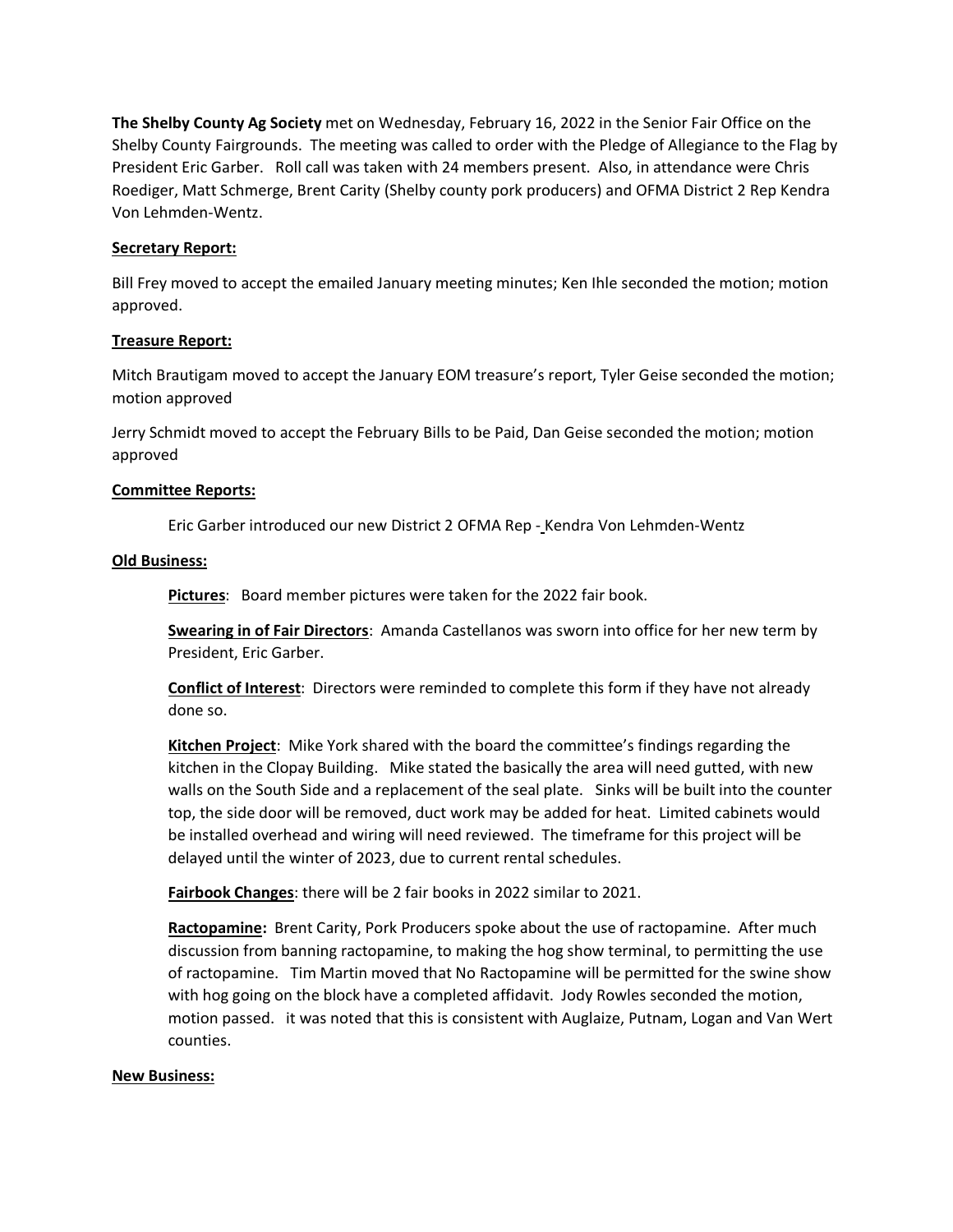**The Shelby County Ag Society** met on Wednesday, February 16, 2022 in the Senior Fair Office on the Shelby County Fairgrounds. The meeting was called to order with the Pledge of Allegiance to the Flag by President Eric Garber. Roll call was taken with 24 members present. Also, in attendance were Chris Roediger, Matt Schmerge, Brent Carity (Shelby county pork producers) and OFMA District 2 Rep Kendra Von Lehmden-Wentz.

## **Secretary Report:**

Bill Frey moved to accept the emailed January meeting minutes; Ken Ihle seconded the motion; motion approved.

## **Treasure Report:**

Mitch Brautigam moved to accept the January EOM treasure's report, Tyler Geise seconded the motion; motion approved

Jerry Schmidt moved to accept the February Bills to be Paid, Dan Geise seconded the motion; motion approved

# **Committee Reports:**

Eric Garber introduced our new District 2 OFMA Rep - Kendra Von Lehmden-Wentz

## **Old Business:**

**Pictures**: Board member pictures were taken for the 2022 fair book.

**Swearing in of Fair Directors**: Amanda Castellanos was sworn into office for her new term by President, Eric Garber.

**Conflict of Interest**: Directors were reminded to complete this form if they have not already done so.

**Kitchen Project**: Mike York shared with the board the committee's findings regarding the kitchen in the Clopay Building. Mike stated the basically the area will need gutted, with new walls on the South Side and a replacement of the seal plate. Sinks will be built into the counter top, the side door will be removed, duct work may be added for heat. Limited cabinets would be installed overhead and wiring will need reviewed. The timeframe for this project will be delayed until the winter of 2023, due to current rental schedules.

**Fairbook Changes**: there will be 2 fair books in 2022 similar to 2021.

**Ractopamine:** Brent Carity, Pork Producers spoke about the use of ractopamine. After much discussion from banning ractopamine, to making the hog show terminal, to permitting the use of ractopamine. Tim Martin moved that No Ractopamine will be permitted for the swine show with hog going on the block have a completed affidavit. Jody Rowles seconded the motion, motion passed. it was noted that this is consistent with Auglaize, Putnam, Logan and Van Wert counties.

## **New Business:**